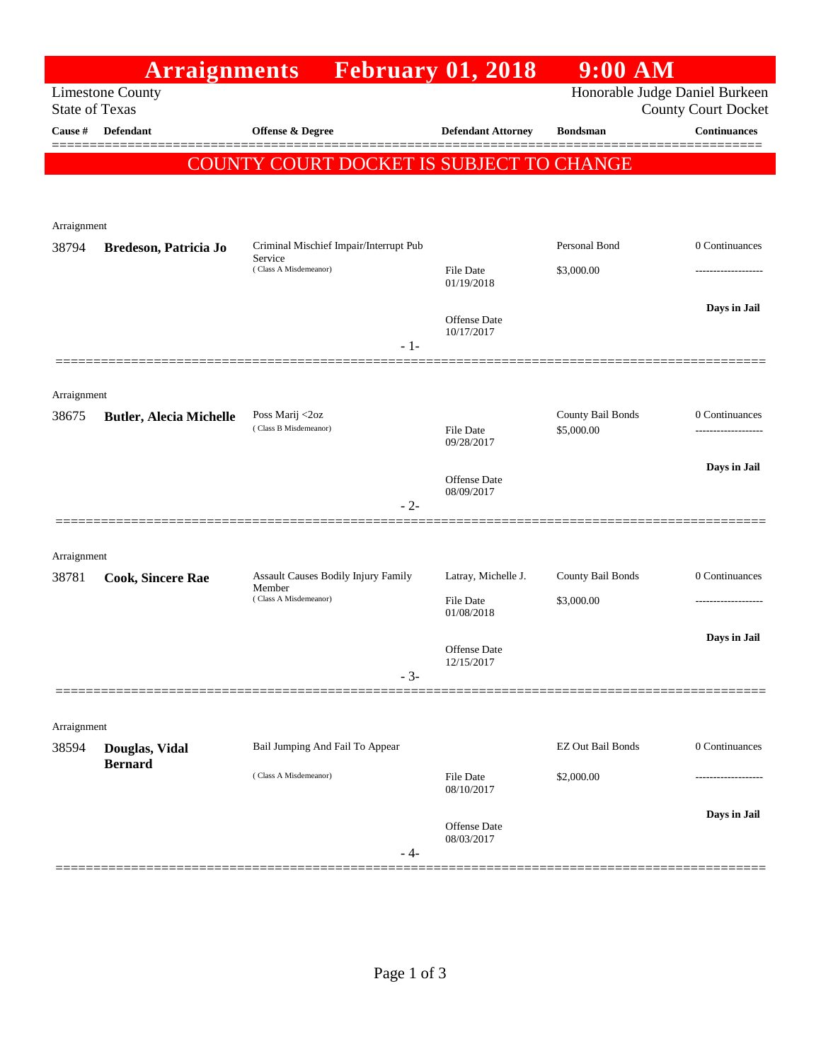|                       | <b>Arraignments</b>              |                                                      | <b>February 01, 2018</b>          | 9:00 AM                         |                                |
|-----------------------|----------------------------------|------------------------------------------------------|-----------------------------------|---------------------------------|--------------------------------|
|                       | <b>Limestone County</b>          |                                                      |                                   |                                 | Honorable Judge Daniel Burkeen |
| <b>State of Texas</b> |                                  |                                                      |                                   |                                 | <b>County Court Docket</b>     |
| Cause #               | Defendant                        | Offense & Degree                                     | <b>Defendant Attorney</b>         | <b>Bondsman</b>                 | <b>Continuances</b>            |
|                       |                                  | COUNTY COURT DOCKET IS SUBJECT TO CHANGE             |                                   |                                 |                                |
|                       |                                  |                                                      |                                   |                                 |                                |
|                       |                                  |                                                      |                                   |                                 |                                |
| Arraignment           |                                  |                                                      |                                   |                                 |                                |
| 38794                 | Bredeson, Patricia Jo            | Criminal Mischief Impair/Interrupt Pub<br>Service    |                                   | Personal Bond                   | 0 Continuances                 |
|                       |                                  | (Class A Misdemeanor)                                | File Date<br>01/19/2018           | \$3,000.00                      |                                |
|                       |                                  |                                                      |                                   |                                 | Days in Jail                   |
|                       |                                  |                                                      | <b>Offense Date</b><br>10/17/2017 |                                 |                                |
|                       |                                  | $-1-$                                                |                                   |                                 |                                |
|                       |                                  |                                                      |                                   |                                 |                                |
| Arraignment           |                                  |                                                      |                                   |                                 |                                |
| 38675                 | <b>Butler, Alecia Michelle</b>   | Poss Marij <2oz<br>(Class B Misdemeanor)             | <b>File Date</b>                  | County Bail Bonds<br>\$5,000.00 | 0 Continuances                 |
|                       |                                  |                                                      | 09/28/2017                        |                                 |                                |
|                       |                                  |                                                      |                                   |                                 | Days in Jail                   |
|                       |                                  |                                                      | Offense Date<br>08/09/2017        |                                 |                                |
|                       |                                  | $-2-$                                                |                                   |                                 |                                |
|                       |                                  |                                                      |                                   |                                 |                                |
| Arraignment           |                                  |                                                      |                                   |                                 |                                |
| 38781                 | <b>Cook, Sincere Rae</b>         | <b>Assault Causes Bodily Injury Family</b><br>Member | Latray, Michelle J.               | County Bail Bonds               | 0 Continuances                 |
|                       |                                  | (Class A Misdemeanor)                                | File Date<br>01/08/2018           | \$3,000.00                      |                                |
|                       |                                  |                                                      |                                   |                                 | Days in Jail                   |
|                       |                                  |                                                      | Offense Date<br>12/15/2017        |                                 |                                |
|                       |                                  | $-3-$                                                |                                   |                                 |                                |
|                       |                                  |                                                      |                                   |                                 |                                |
| Arraignment           |                                  |                                                      |                                   |                                 |                                |
| 38594                 | Douglas, Vidal<br><b>Bernard</b> | Bail Jumping And Fail To Appear                      |                                   | <b>EZ Out Bail Bonds</b>        | 0 Continuances                 |
|                       |                                  | (Class A Misdemeanor)                                | <b>File Date</b>                  | \$2,000.00                      |                                |
|                       |                                  |                                                      | 08/10/2017                        |                                 |                                |
|                       |                                  |                                                      | Offense Date                      |                                 | Days in Jail                   |
|                       |                                  | - 4-                                                 | 08/03/2017                        |                                 |                                |
|                       |                                  |                                                      |                                   |                                 |                                |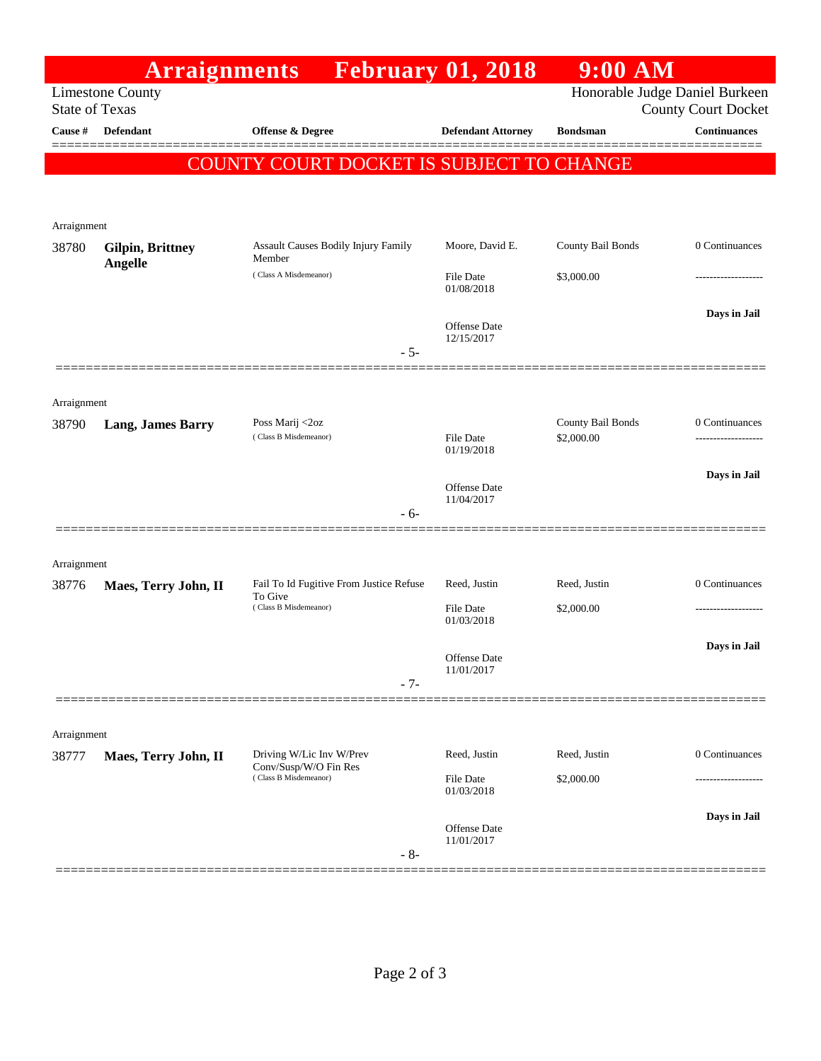|                                                                                                                  | <b>Arraignments</b>                |                                                                             | <b>February 01, 2018</b>          | $9:00$ AM                       |                     |
|------------------------------------------------------------------------------------------------------------------|------------------------------------|-----------------------------------------------------------------------------|-----------------------------------|---------------------------------|---------------------|
| Honorable Judge Daniel Burkeen<br><b>Limestone County</b><br><b>State of Texas</b><br><b>County Court Docket</b> |                                    |                                                                             |                                   |                                 |                     |
| Cause #                                                                                                          | Defendant                          | <b>Offense &amp; Degree</b>                                                 | <b>Defendant Attorney</b>         | <b>Bondsman</b>                 | <b>Continuances</b> |
|                                                                                                                  |                                    | COUNTY COURT DOCKET IS SUBJECT TO CHANGE                                    |                                   |                                 |                     |
|                                                                                                                  |                                    |                                                                             |                                   |                                 |                     |
| Arraignment                                                                                                      |                                    |                                                                             |                                   |                                 |                     |
| 38780                                                                                                            | <b>Gilpin, Brittney</b><br>Angelle | <b>Assault Causes Bodily Injury Family</b><br>Member                        | Moore, David E.                   | County Bail Bonds               | 0 Continuances      |
|                                                                                                                  |                                    | (Class A Misdemeanor)<br>$-5-$                                              | File Date<br>01/08/2018           | \$3,000.00                      |                     |
|                                                                                                                  |                                    |                                                                             | Offense Date                      |                                 | Days in Jail        |
|                                                                                                                  |                                    |                                                                             | 12/15/2017                        |                                 |                     |
|                                                                                                                  |                                    |                                                                             |                                   |                                 |                     |
| Arraignment                                                                                                      |                                    |                                                                             |                                   |                                 |                     |
| 38790                                                                                                            | <b>Lang, James Barry</b>           | Poss Marij <2oz<br>(Class B Misdemeanor)                                    | <b>File Date</b><br>01/19/2018    | County Bail Bonds<br>\$2,000.00 | 0 Continuances      |
|                                                                                                                  |                                    |                                                                             |                                   |                                 | Days in Jail        |
|                                                                                                                  |                                    | $-6-$                                                                       | <b>Offense Date</b><br>11/04/2017 |                                 |                     |
|                                                                                                                  |                                    |                                                                             |                                   |                                 |                     |
| Arraignment                                                                                                      |                                    |                                                                             |                                   |                                 |                     |
| 38776                                                                                                            | Maes, Terry John, II               | Fail To Id Fugitive From Justice Refuse<br>To Give<br>(Class B Misdemeanor) | Reed, Justin                      | Reed, Justin                    | 0 Continuances      |
|                                                                                                                  |                                    |                                                                             | <b>File Date</b><br>01/03/2018    | \$2,000.00                      |                     |
|                                                                                                                  |                                    |                                                                             | Offense Date                      |                                 | Days in Jail        |
|                                                                                                                  |                                    | $-7-$                                                                       | 11/01/2017                        |                                 |                     |
|                                                                                                                  |                                    |                                                                             |                                   |                                 |                     |
| Arraignment<br>38777                                                                                             | Maes, Terry John, II               | Driving W/Lic Inv W/Prev                                                    | Reed, Justin                      | Reed, Justin                    | 0 Continuances      |
|                                                                                                                  |                                    | Conv/Susp/W/O Fin Res<br>(Class B Misdemeanor)                              | File Date<br>01/03/2018           | \$2,000.00                      | .                   |
|                                                                                                                  |                                    |                                                                             |                                   |                                 | Days in Jail        |
|                                                                                                                  |                                    |                                                                             | Offense Date<br>11/01/2017        |                                 |                     |
|                                                                                                                  |                                    | $-8-$                                                                       |                                   |                                 |                     |